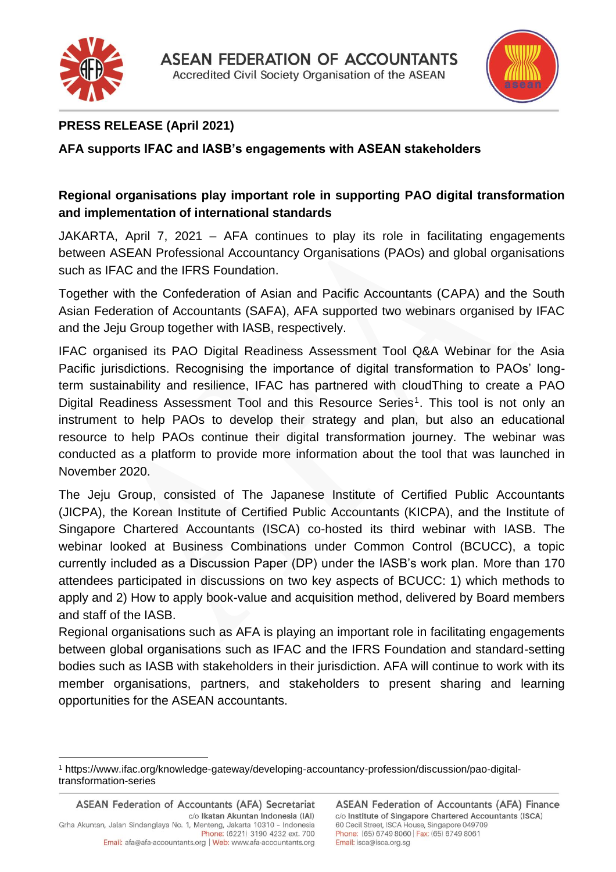



# **PRESS RELEASE (April 2021)**

## **AFA supports IFAC and IASB's engagements with ASEAN stakeholders**

## **Regional organisations play important role in supporting PAO digital transformation and implementation of international standards**

JAKARTA, April 7, 2021 – AFA continues to play its role in facilitating engagements between ASEAN Professional Accountancy Organisations (PAOs) and global organisations such as IFAC and the IFRS Foundation.

Together with the Confederation of Asian and Pacific Accountants (CAPA) and the South Asian Federation of Accountants (SAFA), AFA supported two webinars organised by IFAC and the Jeju Group together with IASB, respectively.

IFAC organised its PAO Digital Readiness Assessment Tool Q&A Webinar for the Asia Pacific jurisdictions. Recognising the importance of digital transformation to PAOs' longterm sustainability and resilience, IFAC has partnered with cloudThing to create a PAO Digital Readiness Assessment Tool and this Resource Series<sup>1</sup>. This tool is not only an instrument to help PAOs to develop their strategy and plan, but also an educational resource to help PAOs continue their digital transformation journey. The webinar was conducted as a platform to provide more information about the tool that was launched in November 2020.

The Jeju Group, consisted of The Japanese Institute of Certified Public Accountants (JICPA), the Korean Institute of Certified Public Accountants (KICPA), and the Institute of Singapore Chartered Accountants (ISCA) co-hosted its third webinar with IASB. The webinar looked at Business Combinations under Common Control (BCUCC), a topic currently included as a Discussion Paper (DP) under the IASB's work plan. More than 170 attendees participated in discussions on two key aspects of BCUCC: 1) which methods to apply and 2) How to apply book-value and acquisition method, delivered by Board members and staff of the IASB.

Regional organisations such as AFA is playing an important role in facilitating engagements between global organisations such as IFAC and the IFRS Foundation and standard-setting bodies such as IASB with stakeholders in their jurisdiction. AFA will continue to work with its member organisations, partners, and stakeholders to present sharing and learning opportunities for the ASEAN accountants.

<sup>1</sup> https://www.ifac.org/knowledge-gateway/developing-accountancy-profession/discussion/pao-digitaltransformation-series